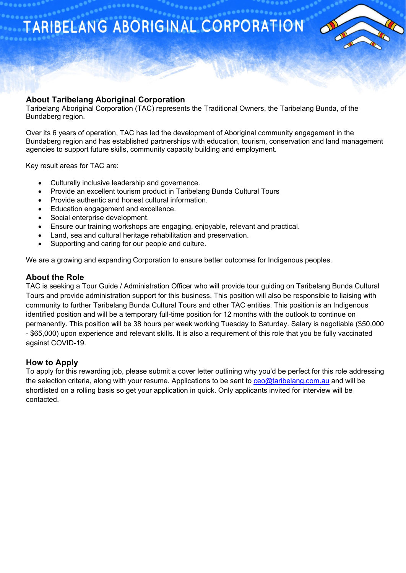TARIBELANG ABORIGINAL CORPORATION



# **About Taribelang Aboriginal Corporation**

Taribelang Aboriginal Corporation (TAC) represents the Traditional Owners, the Taribelang Bunda, of the Bundaberg region.

Over its 6 years of operation, TAC has led the development of Aboriginal community engagement in the Bundaberg region and has established partnerships with education, tourism, conservation and land management agencies to support future skills, community capacity building and employment.

Key result areas for TAC are:

- Culturally inclusive leadership and governance.
- Provide an excellent tourism product in Taribelang Bunda Cultural Tours
- Provide authentic and honest cultural information.
- Education engagement and excellence.
- Social enterprise development.
- Ensure our training workshops are engaging, enjoyable, relevant and practical.
- Land, sea and cultural heritage rehabilitation and preservation.
- Supporting and caring for our people and culture.

We are a growing and expanding Corporation to ensure better outcomes for Indigenous peoples.

## **About the Role**

TAC is seeking a Tour Guide / Administration Officer who will provide tour guiding on Taribelang Bunda Cultural Tours and provide administration support for this business. This position will also be responsible to liaising with community to further Taribelang Bunda Cultural Tours and other TAC entities. This position is an Indigenous identified position and will be a temporary full-time position for 12 months with the outlook to continue on permanently. This position will be 38 hours per week working Tuesday to Saturday. Salary is negotiable (\$50,000 - \$65,000) upon experience and relevant skills. It is also a requirement of this role that you be fully vaccinated against COVID-19.

## **How to Apply**

To apply for this rewarding job, please submit a cover letter outlining why you'd be perfect for this role addressing the selection criteria, along with your resume. Applications to be sent to [ceo@taribelang.com.au](mailto:ceo@taribelang.com.au) and will be shortlisted on a rolling basis so get your application in quick. Only applicants invited for interview will be contacted.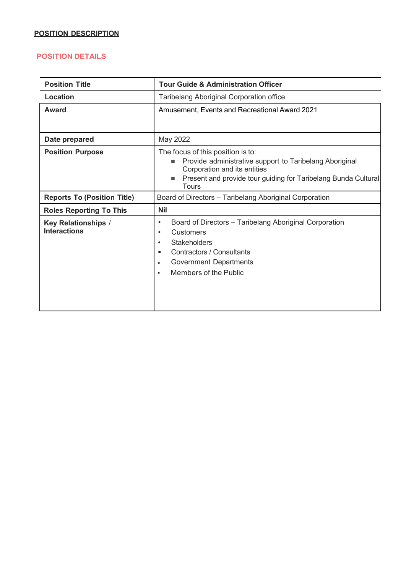## **POSITION DESCRIPTION**

## **POSITION DETAILS**

| <b>Position Title</b>                             | <b>Tour Guide &amp; Administration Officer</b>                                                                                                                                                                                                          |
|---------------------------------------------------|---------------------------------------------------------------------------------------------------------------------------------------------------------------------------------------------------------------------------------------------------------|
| Location                                          | Taribelang Aboriginal Corporation office                                                                                                                                                                                                                |
| Award                                             | Amusement, Events and Recreational Award 2021                                                                                                                                                                                                           |
| Date prepared                                     | May 2022                                                                                                                                                                                                                                                |
| <b>Position Purpose</b>                           | The focus of this position is to:<br>Provide administrative support to Taribelang Aboriginal<br>п<br>Corporation and its entities<br>Present and provide tour guiding for Taribelang Bunda Cultural<br>Tours                                            |
| <b>Reports To (Position Title)</b>                | Board of Directors - Taribelang Aboriginal Corporation                                                                                                                                                                                                  |
| <b>Roles Reporting To This</b>                    | <b>Nil</b>                                                                                                                                                                                                                                              |
| <b>Key Relationships /</b><br><b>Interactions</b> | Board of Directors - Taribelang Aboriginal Corporation<br>$\bullet$<br>Customers<br>٠<br><b>Stakeholders</b><br>$\bullet$<br>Contractors / Consultants<br>$\bullet$<br><b>Government Departments</b><br>$\bullet$<br>Members of the Public<br>$\bullet$ |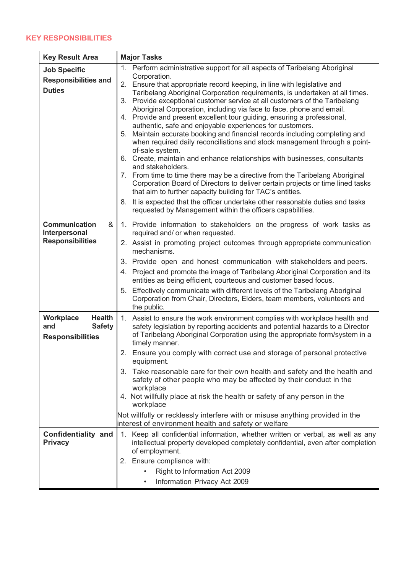## **KEY RESPONSIBILITIES**

| <b>Key Result Area</b>                                                        | <b>Major Tasks</b>                                                                                                                                                                                                                                                                                                                                                                                                                                                                                                                                                                                                                                                                                                                                                                                                                                                                                                                                                                                                                                                                                                                                                                                                |  |
|-------------------------------------------------------------------------------|-------------------------------------------------------------------------------------------------------------------------------------------------------------------------------------------------------------------------------------------------------------------------------------------------------------------------------------------------------------------------------------------------------------------------------------------------------------------------------------------------------------------------------------------------------------------------------------------------------------------------------------------------------------------------------------------------------------------------------------------------------------------------------------------------------------------------------------------------------------------------------------------------------------------------------------------------------------------------------------------------------------------------------------------------------------------------------------------------------------------------------------------------------------------------------------------------------------------|--|
| <b>Job Specific</b><br><b>Responsibilities and</b><br><b>Duties</b>           | 1. Perform administrative support for all aspects of Taribelang Aboriginal<br>Corporation.<br>2. Ensure that appropriate record keeping, in line with legislative and<br>Taribelang Aboriginal Corporation requirements, is undertaken at all times.<br>3. Provide exceptional customer service at all customers of the Taribelang<br>Aboriginal Corporation, including via face to face, phone and email.<br>4. Provide and present excellent tour guiding, ensuring a professional,<br>authentic, safe and enjoyable experiences for customers.<br>5. Maintain accurate booking and financial records including completing and<br>when required daily reconciliations and stock management through a point-<br>of-sale system.<br>6. Create, maintain and enhance relationships with businesses, consultants<br>and stakeholders.<br>7. From time to time there may be a directive from the Taribelang Aboriginal<br>Corporation Board of Directors to deliver certain projects or time lined tasks<br>that aim to further capacity building for TAC's entities.<br>8. It is expected that the officer undertake other reasonable duties and tasks<br>requested by Management within the officers capabilities. |  |
| <b>Communication</b><br>&<br>Interpersonal<br><b>Responsibilities</b>         | 1. Provide information to stakeholders on the progress of work tasks as<br>required and/ or when requested.<br>2. Assist in promoting project outcomes through appropriate communication<br>mechanisms.<br>3. Provide open and honest communication with stakeholders and peers.<br>4. Project and promote the image of Taribelang Aboriginal Corporation and its<br>entities as being efficient, courteous and customer based focus.<br>5. Effectively communicate with different levels of the Taribelang Aboriginal<br>Corporation from Chair, Directors, Elders, team members, volunteers and<br>the public.                                                                                                                                                                                                                                                                                                                                                                                                                                                                                                                                                                                                  |  |
| Workplace<br><b>Health</b><br><b>Safety</b><br>and<br><b>Responsibilities</b> | 1. Assist to ensure the work environment complies with workplace health and<br>safety legislation by reporting accidents and potential hazards to a Director<br>of Taribelang Aboriginal Corporation using the appropriate form/system in a<br>timely manner.<br>Ensure you comply with correct use and storage of personal protective<br>2.<br>equipment.<br>3. Take reasonable care for their own health and safety and the health and<br>safety of other people who may be affected by their conduct in the<br>workplace<br>4. Not willfully place at risk the health or safety of any person in the<br>workplace<br>Not willfully or recklessly interfere with or misuse anything provided in the<br>interest of environment health and safety or welfare                                                                                                                                                                                                                                                                                                                                                                                                                                                     |  |
| <b>Confidentiality and</b><br><b>Privacy</b>                                  | 1. Keep all confidential information, whether written or verbal, as well as any<br>intellectual property developed completely confidential, even after completion<br>of employment.<br>2. Ensure compliance with:<br>Right to Information Act 2009<br>Information Privacy Act 2009<br>$\bullet$                                                                                                                                                                                                                                                                                                                                                                                                                                                                                                                                                                                                                                                                                                                                                                                                                                                                                                                   |  |